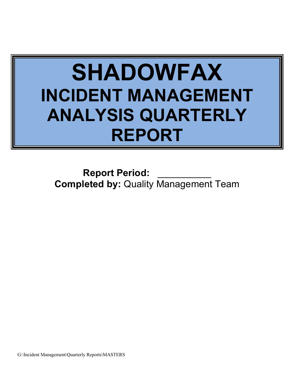# **SHADOWFAX INCIDENT MANAGEMENT ANALYSIS QUARTERLY REPORT**

**Report Period: Completed by:** Quality Management Team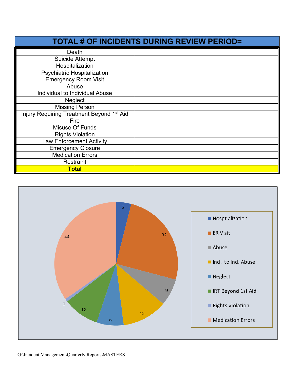| <b>TOTAL # OF INCIDENTS DURING REVIEW PERIOD=</b> |  |  |  |  |  |
|---------------------------------------------------|--|--|--|--|--|
| Death                                             |  |  |  |  |  |
| Suicide Attempt                                   |  |  |  |  |  |
| Hospitalization                                   |  |  |  |  |  |
| <b>Psychiatric Hospitalization</b>                |  |  |  |  |  |
| <b>Emergency Room Visit</b>                       |  |  |  |  |  |
| Abuse                                             |  |  |  |  |  |
| Individual to Individual Abuse                    |  |  |  |  |  |
| <b>Neglect</b>                                    |  |  |  |  |  |
| <b>Missing Person</b>                             |  |  |  |  |  |
| Injury Requiring Treatment Beyond 1st Aid         |  |  |  |  |  |
| Fire                                              |  |  |  |  |  |
| Misuse Of Funds                                   |  |  |  |  |  |
| <b>Rights Violation</b>                           |  |  |  |  |  |
| <b>Law Enforcement Activity</b>                   |  |  |  |  |  |
| <b>Emergency Closure</b>                          |  |  |  |  |  |
| <b>Medication Errors</b>                          |  |  |  |  |  |
| Restraint                                         |  |  |  |  |  |
| <b>Total</b>                                      |  |  |  |  |  |

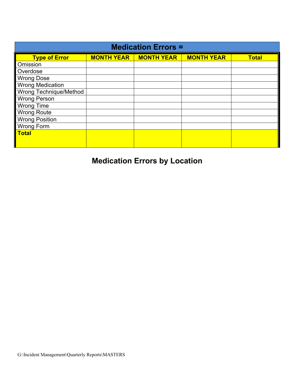| <b>Medication Errors =</b> |                   |                   |                   |              |  |  |  |
|----------------------------|-------------------|-------------------|-------------------|--------------|--|--|--|
| <b>Type of Error</b>       | <b>MONTH YEAR</b> | <b>MONTH YEAR</b> | <b>MONTH YEAR</b> | <b>Total</b> |  |  |  |
| Omission                   |                   |                   |                   |              |  |  |  |
| Overdose                   |                   |                   |                   |              |  |  |  |
| <b>Wrong Dose</b>          |                   |                   |                   |              |  |  |  |
| <b>Wrong Medication</b>    |                   |                   |                   |              |  |  |  |
| Wrong Technique/Method     |                   |                   |                   |              |  |  |  |
| <b>Wrong Person</b>        |                   |                   |                   |              |  |  |  |
| <b>Wrong Time</b>          |                   |                   |                   |              |  |  |  |
| <b>Wrong Route</b>         |                   |                   |                   |              |  |  |  |
| <b>Wrong Position</b>      |                   |                   |                   |              |  |  |  |
| <b>Wrong Form</b>          |                   |                   |                   |              |  |  |  |
| <b>Total</b>               |                   |                   |                   |              |  |  |  |
|                            |                   |                   |                   |              |  |  |  |

## **Medication Errors by Location**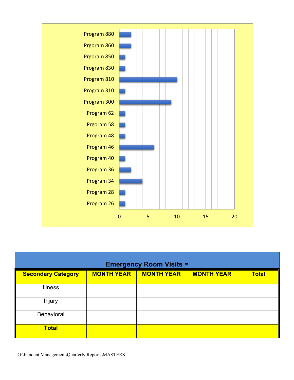

| <b>Emergency Room Visits =</b> |                   |                   |                   |              |  |  |
|--------------------------------|-------------------|-------------------|-------------------|--------------|--|--|
| <b>Secondary Category</b>      | <b>MONTH YEAR</b> | <b>MONTH YEAR</b> | <b>MONTH YEAR</b> | <b>Total</b> |  |  |
| <b>Illness</b>                 |                   |                   |                   |              |  |  |
| Injury                         |                   |                   |                   |              |  |  |
| <b>Behavioral</b>              |                   |                   |                   |              |  |  |
| <b>Total</b>                   |                   |                   |                   |              |  |  |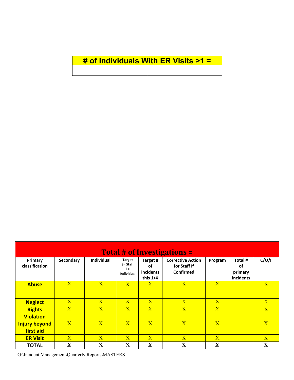| # of Individuals With ER Visits $>1$ = |  |
|----------------------------------------|--|
|                                        |  |

| <b>Total # of Investigations =</b> |                |                         |                                                         |                                           |                                                              |                |                                              |                         |
|------------------------------------|----------------|-------------------------|---------------------------------------------------------|-------------------------------------------|--------------------------------------------------------------|----------------|----------------------------------------------|-------------------------|
| Primary<br>classification          | Secondary      | <b>Individual</b>       | <b>Target</b><br>S= Staff<br>$I =$<br><b>Individual</b> | Target #<br>оf<br>incidents<br>this $1/4$ | <b>Corrective Action</b><br>for Staff If<br><b>Confirmed</b> | Program        | Total #<br><b>of</b><br>primary<br>incidents | C/U/I                   |
| <b>Abuse</b>                       | $\mathbf{X}$   | $\mathbf{X}$            | $\mathsf{X}$                                            | $\overline{X}$                            | $\overline{X}$                                               | $\overline{X}$ |                                              | $\mathbf{X}$            |
| <b>Neglect</b>                     | $\mathbf{X}$   | $\mathbf{X}$            | $\mathbf{X}$                                            | $\overline{X}$                            | $\mathbf{X}$                                                 | $\mathbf{X}$   |                                              | $\overline{X}$          |
| <b>Rights</b><br><b>Violation</b>  | $\overline{X}$ | $\overline{X}$          | $\overline{\mathbf{X}}$                                 | $\overline{\mathbf{X}}$                   | $\overline{\mathbf{X}}$                                      | $\overline{X}$ |                                              | $\overline{\mathbf{X}}$ |
| <b>Injury beyond</b><br>first aid  | $\mathbf{X}$   | $\overline{\mathbf{X}}$ | $\overline{X}$                                          | $\mathbf{X}$                              | $\mathbf{X}$                                                 | $\mathbf{X}$   |                                              | $\mathbf{X}$            |
| <b>ER Visit</b>                    | $\mathbf{X}$   | $\mathbf{X}$            | $\overline{\mathbf{X}}$                                 | $\mathbf{X}$                              | $\overline{X}$                                               | $\overline{X}$ |                                              | $\overline{\mathbf{X}}$ |
| <b>TOTAL</b>                       | $\mathbf X$    | $\mathbf X$             | $\mathbf X$                                             | $\mathbf X$                               | $\mathbf X$                                                  | $\mathbf X$    |                                              | $\mathbf X$             |

G:\Incident Management\Quarterly Reports\MASTERS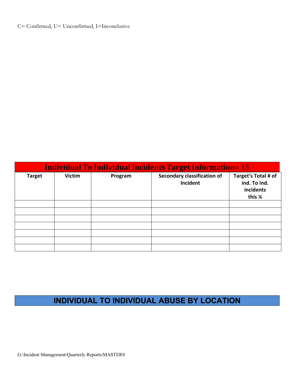#### C= Confirmed, U= Unconfirmed, I=Inconclusive

| <b>Individual To Individual Incidents Target Information= 15</b> |               |         |                                                |                                                            |  |  |
|------------------------------------------------------------------|---------------|---------|------------------------------------------------|------------------------------------------------------------|--|--|
| <b>Target</b>                                                    | <b>Victim</b> | Program | <b>Secondary classification of</b><br>Incident | Target's Total # of<br>ind. To ind.<br>incidents<br>this % |  |  |
|                                                                  |               |         |                                                |                                                            |  |  |
|                                                                  |               |         |                                                |                                                            |  |  |
|                                                                  |               |         |                                                |                                                            |  |  |
|                                                                  |               |         |                                                |                                                            |  |  |
|                                                                  |               |         |                                                |                                                            |  |  |
|                                                                  |               |         |                                                |                                                            |  |  |
|                                                                  |               |         |                                                |                                                            |  |  |

### **INDIVIDUAL TO INDIVIDUAL ABUSE BY LOCATION**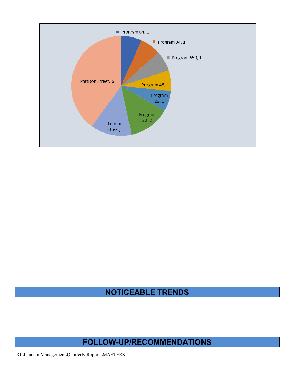

#### **NOTICEABLE TRENDS**

#### **FOLLOW-UP/RECOMMENDATIONS**

G:\Incident Management\Quarterly Reports\MASTERS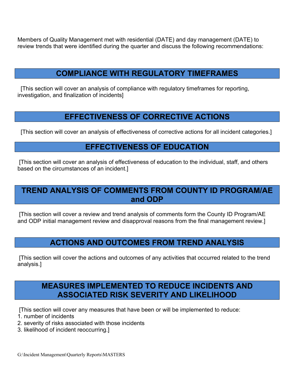Members of Quality Management met with residential (DATE) and day management (DATE) to review trends that were identified during the quarter and discuss the following recommendations:

#### **COMPLIANCE WITH REGULATORY TIMEFRAMES**

[This section will cover an analysis of compliance with regulatory timeframes for reporting, investigation, and finalization of incidents]

#### **EFFECTIVENESS OF CORRECTIVE ACTIONS**

[This section will cover an analysis of effectiveness of corrective actions for all incident categories.]

#### **EFFECTIVENESS OF EDUCATION**

[This section will cover an analysis of effectiveness of education to the individual, staff, and others based on the circumstances of an incident.]

#### **TREND ANALYSIS OF COMMENTS FROM COUNTY ID PROGRAM/AE and ODP**

[This section will cover a review and trend analysis of comments form the County ID Program/AE and ODP initial management review and disapproval reasons from the final management review.]

#### **ACTIONS AND OUTCOMES FROM TREND ANALYSIS**

[This section will cover the actions and outcomes of any activities that occurred related to the trend analysis.]

#### **MEASURES IMPLEMENTED TO REDUCE INCIDENTS AND ASSOCIATED RISK SEVERITY AND LIKELIHOOD**

[This section will cover any measures that have been or will be implemented to reduce:

- 1. number of incidents
- 2. severity of risks associated with those incidents
- 3. likelihood of incident reoccurring.]